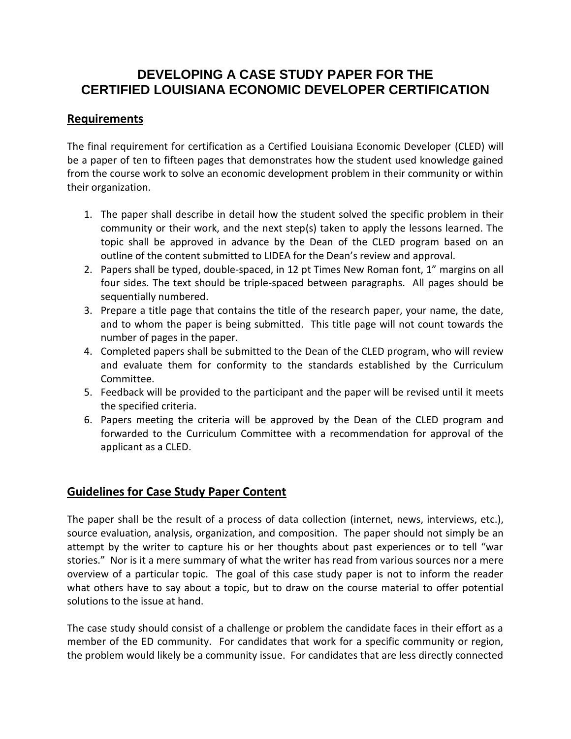# **DEVELOPING A CASE STUDY PAPER FOR THE CERTIFIED LOUISIANA ECONOMIC DEVELOPER CERTIFICATION**

## **Requirements**

The final requirement for certification as a Certified Louisiana Economic Developer (CLED) will be a paper of ten to fifteen pages that demonstrates how the student used knowledge gained from the course work to solve an economic development problem in their community or within their organization.

- 1. The paper shall describe in detail how the student solved the specific problem in their community or their work, and the next step(s) taken to apply the lessons learned. The topic shall be approved in advance by the Dean of the CLED program based on an outline of the content submitted to LIDEA for the Dean's review and approval.
- 2. Papers shall be typed, double-spaced, in 12 pt Times New Roman font, 1" margins on all four sides. The text should be triple-spaced between paragraphs. All pages should be sequentially numbered.
- 3. Prepare a title page that contains the title of the research paper, your name, the date, and to whom the paper is being submitted. This title page will not count towards the number of pages in the paper.
- 4. Completed papers shall be submitted to the Dean of the CLED program, who will review and evaluate them for conformity to the standards established by the Curriculum Committee.
- 5. Feedback will be provided to the participant and the paper will be revised until it meets the specified criteria.
- 6. Papers meeting the criteria will be approved by the Dean of the CLED program and forwarded to the Curriculum Committee with a recommendation for approval of the applicant as a CLED.

# **Guidelines for Case Study Paper Content**

The paper shall be the result of a process of data collection (internet, news, interviews, etc.), source evaluation, analysis, organization, and composition. The paper should not simply be an attempt by the writer to capture his or her thoughts about past experiences or to tell "war stories." Nor is it a mere summary of what the writer has read from various sources nor a mere overview of a particular topic. The goal of this case study paper is not to inform the reader what others have to say about a topic, but to draw on the course material to offer potential solutions to the issue at hand.

The case study should consist of a challenge or problem the candidate faces in their effort as a member of the ED community. For candidates that work for a specific community or region, the problem would likely be a community issue. For candidates that are less directly connected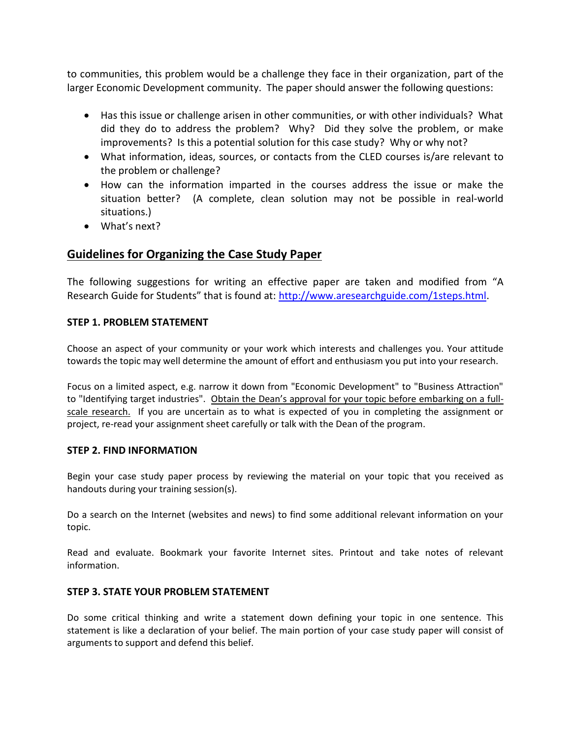to communities, this problem would be a challenge they face in their organization, part of the larger Economic Development community. The paper should answer the following questions:

- Has this issue or challenge arisen in other communities, or with other individuals? What did they do to address the problem? Why? Did they solve the problem, or make improvements? Is this a potential solution for this case study? Why or why not?
- What information, ideas, sources, or contacts from the CLED courses is/are relevant to the problem or challenge?
- How can the information imparted in the courses address the issue or make the situation better? (A complete, clean solution may not be possible in real-world situations.)
- What's next?

### **Guidelines for Organizing the Case Study Paper**

The following suggestions for writing an effective paper are taken and modified from "A Research Guide for Students" that is found at: [http://www.aresearchguide.com/1steps.html.](http://www.aresearchguide.com/1steps.html)

### **STEP 1. PROBLEM STATEMENT**

Choose an aspect of your community or your work which interests and challenges you. Your attitude towards the topic may well determine the amount of effort and enthusiasm you put into your research.

Focus on a limited aspect, e.g. narrow it down from "Economic Development" to "Business Attraction" to "Identifying target industries". Obtain the Dean's approval for your topic before embarking on a fullscale research. If you are uncertain as to what is expected of you in completing the assignment or project, re-read your assignment sheet carefully or talk with the Dean of the program.

#### **STEP 2. FIND INFORMATION**

Begin your case study paper process by reviewing the material on your topic that you received as handouts during your training session(s).

Do a search on the Internet (websites and news) to find some additional relevant information on your topic.

Read and evaluate. Bookmark your favorite Internet sites. Printout and take notes of relevant information.

#### **STEP 3. STATE YOUR PROBLEM STATEMENT**

Do some critical thinking and write a statement down defining your topic in one sentence. This statement is like a declaration of your belief. The main portion of your case study paper will consist of arguments to support and defend this belief.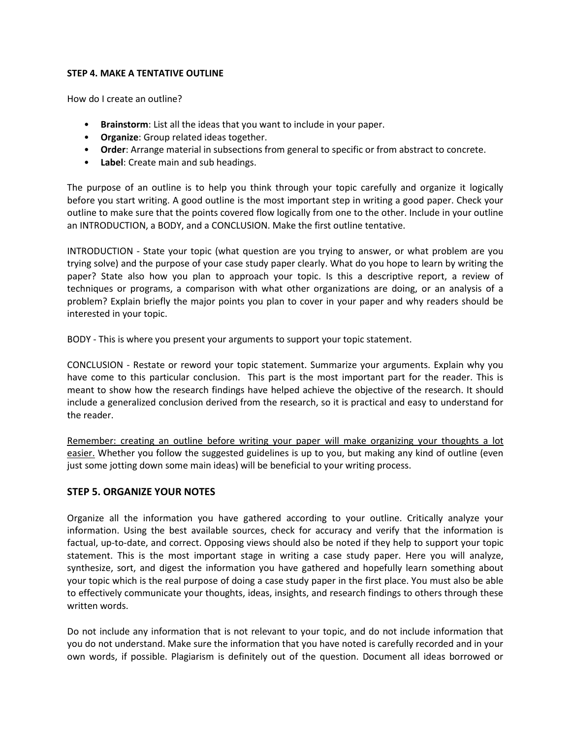#### **STEP 4. MAKE A TENTATIVE OUTLINE**

How do I create an outline?

- **Brainstorm**: List all the ideas that you want to include in your paper.
- **Organize**: Group related ideas together.
- **Order**: Arrange material in subsections from general to specific or from abstract to concrete.
- **Label**: Create main and sub headings.

The purpose of an outline is to help you think through your topic carefully and organize it logically before you start writing. A good outline is the most important step in writing a good paper. Check your outline to make sure that the points covered flow logically from one to the other. Include in your outline an INTRODUCTION, a BODY, and a CONCLUSION. Make the first outline tentative.

INTRODUCTION - State your topic (what question are you trying to answer, or what problem are you trying solve) and the purpose of your case study paper clearly. What do you hope to learn by writing the paper? State also how you plan to approach your topic. Is this a descriptive report, a review of techniques or programs, a comparison with what other organizations are doing, or an analysis of a problem? Explain briefly the major points you plan to cover in your paper and why readers should be interested in your topic.

BODY - This is where you present your arguments to support your topic statement.

CONCLUSION - Restate or reword your topic statement. Summarize your arguments. Explain why you have come to this particular conclusion. This part is the most important part for the reader. This is meant to show how the research findings have helped achieve the objective of the research. It should include a generalized conclusion derived from the research, so it is practical and easy to understand for the reader.

Remember: creating an outline before writing your paper will make organizing your thoughts a lot easier. Whether you follow the suggested guidelines is up to you, but making any kind of outline (even just some jotting down some main ideas) will be beneficial to your writing process.

### **STEP 5. ORGANIZE YOUR NOTES**

Organize all the information you have gathered according to your outline. Critically analyze your information. Using the best available sources, check for accuracy and verify that the information is factual, up-to-date, and correct. Opposing views should also be noted if they help to support your topic statement. This is the most important stage in writing a case study paper. Here you will analyze, synthesize, sort, and digest the information you have gathered and hopefully learn something about your topic which is the real purpose of doing a case study paper in the first place. You must also be able to effectively communicate your thoughts, ideas, insights, and research findings to others through these written words.

Do not include any information that is not relevant to your topic, and do not include information that you do not understand. Make sure the information that you have noted is carefully recorded and in your own words, if possible. Plagiarism is definitely out of the question. Document all ideas borrowed or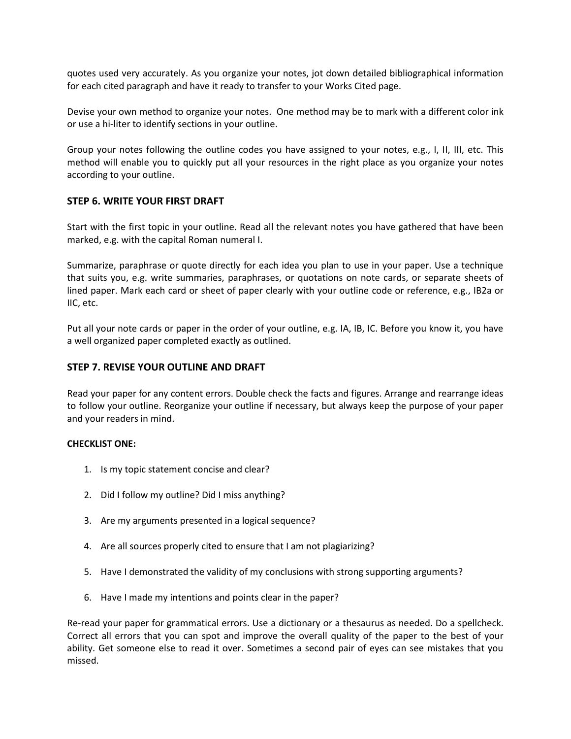quotes used very accurately. As you organize your notes, jot down detailed bibliographical information for each cited paragraph and have it ready to transfer to your Works Cited page.

Devise your own method to organize your notes. One method may be to mark with a different color ink or use a hi-liter to identify sections in your outline.

Group your notes following the outline codes you have assigned to your notes, e.g., I, II, III, etc. This method will enable you to quickly put all your resources in the right place as you organize your notes according to your outline.

#### **STEP 6. WRITE YOUR FIRST DRAFT**

Start with the first topic in your outline. Read all the relevant notes you have gathered that have been marked, e.g. with the capital Roman numeral I.

Summarize, paraphrase or quote directly for each idea you plan to use in your paper. Use a technique that suits you, e.g. write summaries, paraphrases, or quotations on note cards, or separate sheets of lined paper. Mark each card or sheet of paper clearly with your outline code or reference, e.g., IB2a or IIC, etc.

Put all your note cards or paper in the order of your outline, e.g. IA, IB, IC. Before you know it, you have a well organized paper completed exactly as outlined.

#### **STEP 7. REVISE YOUR OUTLINE AND DRAFT**

Read your paper for any content errors. Double check the facts and figures. Arrange and rearrange ideas to follow your outline. Reorganize your outline if necessary, but always keep the purpose of your paper and your readers in mind.

#### **CHECKLIST ONE:**

- 1. Is my topic statement concise and clear?
- 2. Did I follow my outline? Did I miss anything?
- 3. Are my arguments presented in a logical sequence?
- 4. Are all sources properly cited to ensure that I am not plagiarizing?
- 5. Have I demonstrated the validity of my conclusions with strong supporting arguments?
- 6. Have I made my intentions and points clear in the paper?

Re-read your paper for grammatical errors. Use a dictionary or a thesaurus as needed. Do a spellcheck. Correct all errors that you can spot and improve the overall quality of the paper to the best of your ability. Get someone else to read it over. Sometimes a second pair of eyes can see mistakes that you missed.